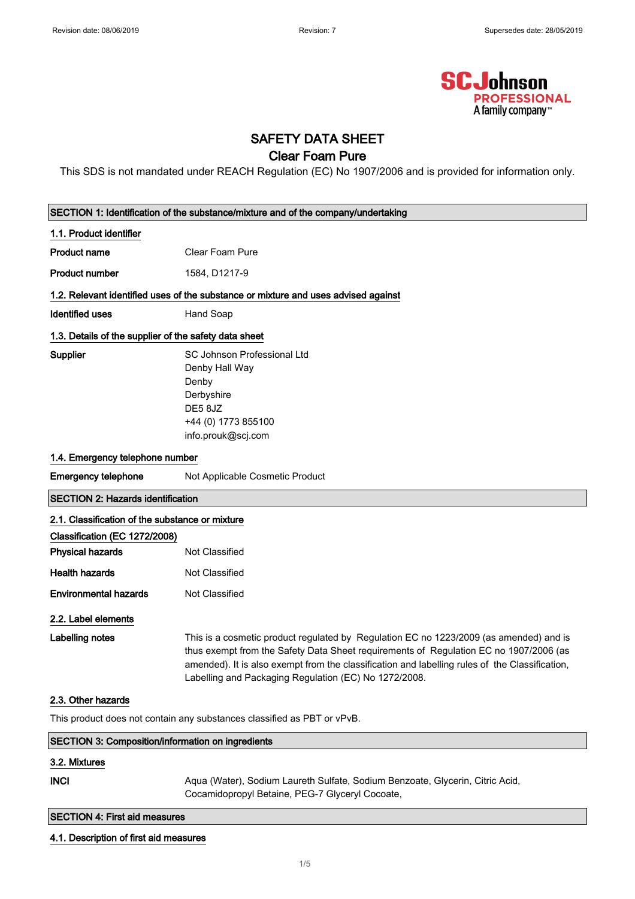

# SAFETY DATA SHEET

# Clear Foam Pure

This SDS is not mandated under REACH Regulation (EC) No 1907/2006 and is provided for information only.

| SECTION 1: Identification of the substance/mixture and of the company/undertaking  |                                                                                                                                                                                                                                                                                                                                            |  |  |
|------------------------------------------------------------------------------------|--------------------------------------------------------------------------------------------------------------------------------------------------------------------------------------------------------------------------------------------------------------------------------------------------------------------------------------------|--|--|
| 1.1. Product identifier                                                            |                                                                                                                                                                                                                                                                                                                                            |  |  |
| <b>Product name</b>                                                                | <b>Clear Foam Pure</b>                                                                                                                                                                                                                                                                                                                     |  |  |
| <b>Product number</b>                                                              | 1584, D1217-9                                                                                                                                                                                                                                                                                                                              |  |  |
| 1.2. Relevant identified uses of the substance or mixture and uses advised against |                                                                                                                                                                                                                                                                                                                                            |  |  |
| <b>Identified uses</b>                                                             | Hand Soap                                                                                                                                                                                                                                                                                                                                  |  |  |
| 1.3. Details of the supplier of the safety data sheet                              |                                                                                                                                                                                                                                                                                                                                            |  |  |
| Supplier                                                                           | SC Johnson Professional Ltd<br>Denby Hall Way<br>Denby<br>Derbyshire<br>DE58JZ<br>+44 (0) 1773 855100<br>info.prouk@scj.com                                                                                                                                                                                                                |  |  |
| 1.4. Emergency telephone number                                                    |                                                                                                                                                                                                                                                                                                                                            |  |  |
| <b>Emergency telephone</b>                                                         | Not Applicable Cosmetic Product                                                                                                                                                                                                                                                                                                            |  |  |
| <b>SECTION 2: Hazards identification</b>                                           |                                                                                                                                                                                                                                                                                                                                            |  |  |
| 2.1. Classification of the substance or mixture                                    |                                                                                                                                                                                                                                                                                                                                            |  |  |
| Classification (EC 1272/2008)                                                      |                                                                                                                                                                                                                                                                                                                                            |  |  |
| <b>Physical hazards</b>                                                            | Not Classified                                                                                                                                                                                                                                                                                                                             |  |  |
| <b>Health hazards</b>                                                              | Not Classified                                                                                                                                                                                                                                                                                                                             |  |  |
| <b>Environmental hazards</b>                                                       | Not Classified                                                                                                                                                                                                                                                                                                                             |  |  |
| 2.2. Label elements                                                                |                                                                                                                                                                                                                                                                                                                                            |  |  |
| <b>Labelling notes</b>                                                             | This is a cosmetic product regulated by Regulation EC no 1223/2009 (as amended) and is<br>thus exempt from the Safety Data Sheet requirements of Regulation EC no 1907/2006 (as<br>amended). It is also exempt from the classification and labelling rules of the Classification,<br>Labelling and Packaging Regulation (EC) No 1272/2008. |  |  |
| 2.3. Other hazards                                                                 |                                                                                                                                                                                                                                                                                                                                            |  |  |
| This product does not contain any substances classified as PBT or vPvB.            |                                                                                                                                                                                                                                                                                                                                            |  |  |
| <b>SECTION 3: Composition/information on ingredients</b>                           |                                                                                                                                                                                                                                                                                                                                            |  |  |
| 3.2. Mixtures                                                                      |                                                                                                                                                                                                                                                                                                                                            |  |  |
| <b>INCI</b>                                                                        | Aqua (Water), Sodium Laureth Sulfate, Sodium Benzoate, Glycerin, Citric Acid,<br>Cocamidopropyl Betaine, PEG-7 Glyceryl Cocoate,                                                                                                                                                                                                           |  |  |
| <b>SECTION 4: First aid measures</b>                                               |                                                                                                                                                                                                                                                                                                                                            |  |  |
| 4.1. Description of first aid measures                                             |                                                                                                                                                                                                                                                                                                                                            |  |  |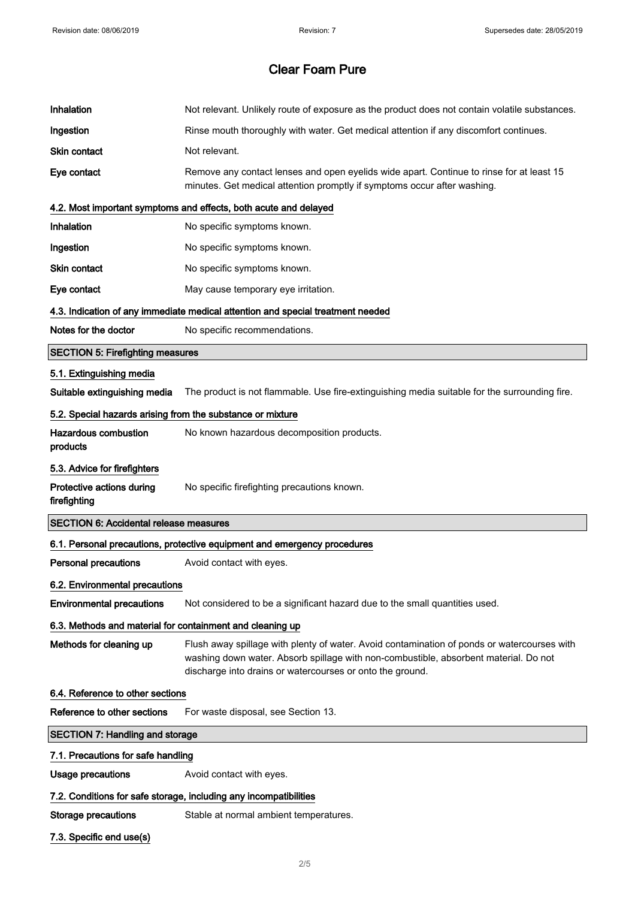| Inhalation                                                 | Not relevant. Unlikely route of exposure as the product does not contain volatile substances.                                                                                                                                                    |  |
|------------------------------------------------------------|--------------------------------------------------------------------------------------------------------------------------------------------------------------------------------------------------------------------------------------------------|--|
| Ingestion                                                  | Rinse mouth thoroughly with water. Get medical attention if any discomfort continues.                                                                                                                                                            |  |
| <b>Skin contact</b>                                        | Not relevant.                                                                                                                                                                                                                                    |  |
| Eye contact                                                | Remove any contact lenses and open eyelids wide apart. Continue to rinse for at least 15<br>minutes. Get medical attention promptly if symptoms occur after washing.                                                                             |  |
|                                                            | 4.2. Most important symptoms and effects, both acute and delayed                                                                                                                                                                                 |  |
| Inhalation                                                 | No specific symptoms known.                                                                                                                                                                                                                      |  |
| Ingestion                                                  | No specific symptoms known.                                                                                                                                                                                                                      |  |
| Skin contact                                               | No specific symptoms known.                                                                                                                                                                                                                      |  |
| Eye contact                                                | May cause temporary eye irritation.                                                                                                                                                                                                              |  |
|                                                            | 4.3. Indication of any immediate medical attention and special treatment needed                                                                                                                                                                  |  |
| Notes for the doctor                                       | No specific recommendations.                                                                                                                                                                                                                     |  |
| <b>SECTION 5: Firefighting measures</b>                    |                                                                                                                                                                                                                                                  |  |
| 5.1. Extinguishing media                                   |                                                                                                                                                                                                                                                  |  |
| Suitable extinguishing media                               | The product is not flammable. Use fire-extinguishing media suitable for the surrounding fire.                                                                                                                                                    |  |
| 5.2. Special hazards arising from the substance or mixture |                                                                                                                                                                                                                                                  |  |
| <b>Hazardous combustion</b><br>products                    | No known hazardous decomposition products.                                                                                                                                                                                                       |  |
| 5.3. Advice for firefighters                               |                                                                                                                                                                                                                                                  |  |
|                                                            |                                                                                                                                                                                                                                                  |  |
| Protective actions during<br>firefighting                  | No specific firefighting precautions known.                                                                                                                                                                                                      |  |
| <b>SECTION 6: Accidental release measures</b>              |                                                                                                                                                                                                                                                  |  |
|                                                            | 6.1. Personal precautions, protective equipment and emergency procedures                                                                                                                                                                         |  |
| <b>Personal precautions</b>                                | Avoid contact with eyes.                                                                                                                                                                                                                         |  |
| 6.2. Environmental precautions                             |                                                                                                                                                                                                                                                  |  |
| <b>Environmental precautions</b>                           | Not considered to be a significant hazard due to the small quantities used.                                                                                                                                                                      |  |
| 6.3. Methods and material for containment and cleaning up  |                                                                                                                                                                                                                                                  |  |
| Methods for cleaning up                                    | Flush away spillage with plenty of water. Avoid contamination of ponds or watercourses with<br>washing down water. Absorb spillage with non-combustible, absorbent material. Do not<br>discharge into drains or watercourses or onto the ground. |  |
| 6.4. Reference to other sections                           |                                                                                                                                                                                                                                                  |  |
| Reference to other sections                                | For waste disposal, see Section 13.                                                                                                                                                                                                              |  |
| <b>SECTION 7: Handling and storage</b>                     |                                                                                                                                                                                                                                                  |  |
| 7.1. Precautions for safe handling                         |                                                                                                                                                                                                                                                  |  |
| <b>Usage precautions</b>                                   | Avoid contact with eyes.                                                                                                                                                                                                                         |  |
|                                                            | 7.2. Conditions for safe storage, including any incompatibilities                                                                                                                                                                                |  |
| Storage precautions                                        | Stable at normal ambient temperatures.                                                                                                                                                                                                           |  |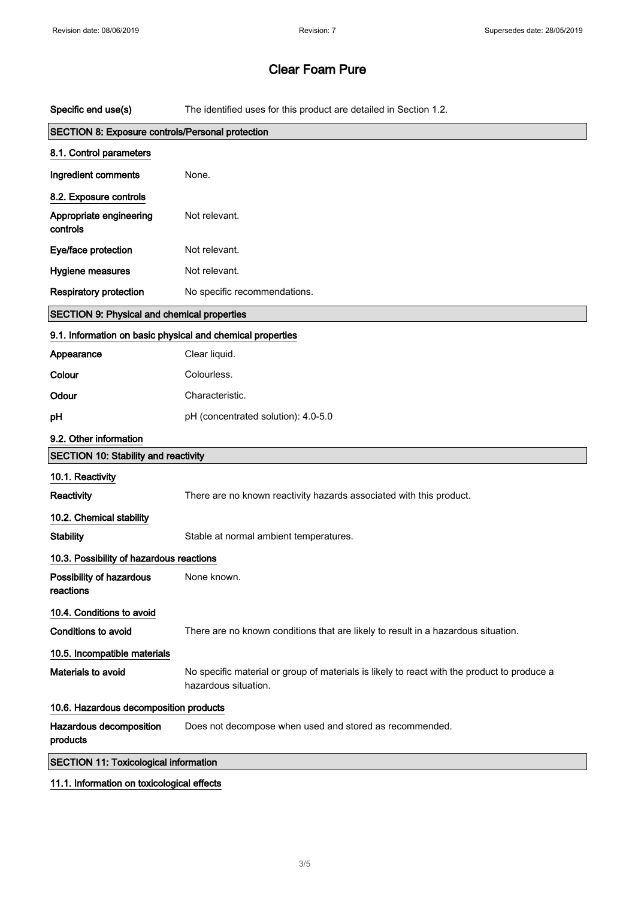| Specific end use(s)                                        | The identified uses for this product are detailed in Section 1.2.                                                   |  |  |
|------------------------------------------------------------|---------------------------------------------------------------------------------------------------------------------|--|--|
| SECTION 8: Exposure controls/Personal protection           |                                                                                                                     |  |  |
| 8.1. Control parameters                                    |                                                                                                                     |  |  |
| Ingredient comments                                        | None.                                                                                                               |  |  |
| 8.2. Exposure controls                                     |                                                                                                                     |  |  |
| Appropriate engineering<br>controls                        | Not relevant.                                                                                                       |  |  |
| Eye/face protection                                        | Not relevant.                                                                                                       |  |  |
| Hygiene measures                                           | Not relevant.                                                                                                       |  |  |
| <b>Respiratory protection</b>                              | No specific recommendations.                                                                                        |  |  |
| <b>SECTION 9: Physical and chemical properties</b>         |                                                                                                                     |  |  |
| 9.1. Information on basic physical and chemical properties |                                                                                                                     |  |  |
| Appearance                                                 | Clear liquid.                                                                                                       |  |  |
| Colour                                                     | Colourless.                                                                                                         |  |  |
| Odour                                                      | Characteristic.                                                                                                     |  |  |
| pH                                                         | pH (concentrated solution): 4.0-5.0                                                                                 |  |  |
| 9.2. Other information                                     |                                                                                                                     |  |  |
| <b>SECTION 10: Stability and reactivity</b>                |                                                                                                                     |  |  |
| 10.1. Reactivity                                           |                                                                                                                     |  |  |
| <b>Reactivity</b>                                          | There are no known reactivity hazards associated with this product.                                                 |  |  |
| 10.2. Chemical stability                                   |                                                                                                                     |  |  |
| <b>Stability</b>                                           | Stable at normal ambient temperatures.                                                                              |  |  |
| 10.3. Possibility of hazardous reactions                   |                                                                                                                     |  |  |
| Possibility of hazardous<br>reactions                      | None known.                                                                                                         |  |  |
| 10.4. Conditions to avoid                                  |                                                                                                                     |  |  |
| <b>Conditions to avoid</b>                                 | There are no known conditions that are likely to result in a hazardous situation.                                   |  |  |
| 10.5. Incompatible materials                               |                                                                                                                     |  |  |
| Materials to avoid                                         | No specific material or group of materials is likely to react with the product to produce a<br>hazardous situation. |  |  |
| 10.6. Hazardous decomposition products                     |                                                                                                                     |  |  |
| Hazardous decomposition<br>products                        | Does not decompose when used and stored as recommended.                                                             |  |  |
| <b>SECTION 11: Toxicological information</b>               |                                                                                                                     |  |  |

### 11.1. Information on toxicological effects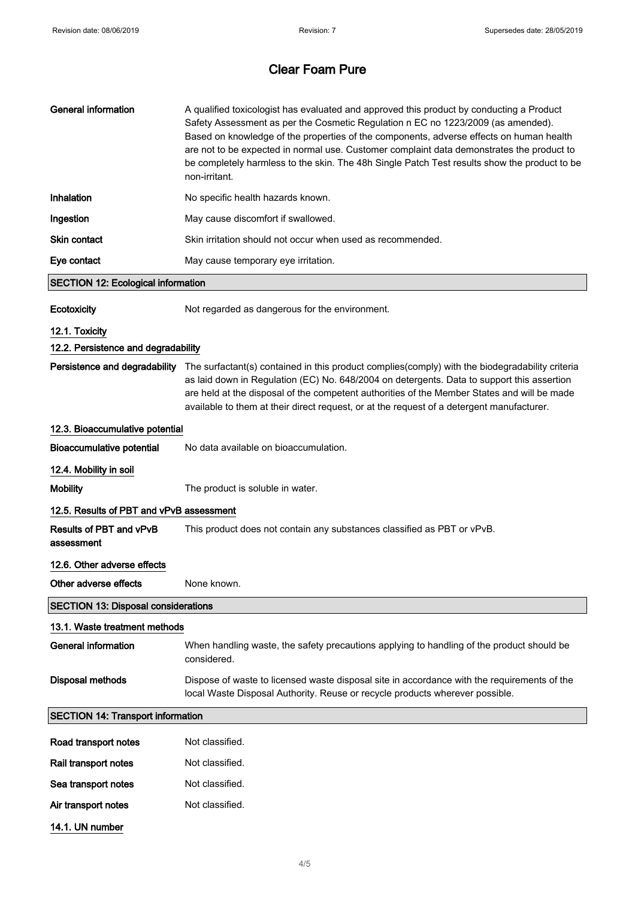| <b>General information</b>                   | A qualified toxicologist has evaluated and approved this product by conducting a Product<br>Safety Assessment as per the Cosmetic Regulation n EC no 1223/2009 (as amended).<br>Based on knowledge of the properties of the components, adverse effects on human health<br>are not to be expected in normal use. Customer complaint data demonstrates the product to<br>be completely harmless to the skin. The 48h Single Patch Test results show the product to be<br>non-irritant. |  |  |  |
|----------------------------------------------|---------------------------------------------------------------------------------------------------------------------------------------------------------------------------------------------------------------------------------------------------------------------------------------------------------------------------------------------------------------------------------------------------------------------------------------------------------------------------------------|--|--|--|
| Inhalation                                   | No specific health hazards known.                                                                                                                                                                                                                                                                                                                                                                                                                                                     |  |  |  |
| Ingestion                                    | May cause discomfort if swallowed.                                                                                                                                                                                                                                                                                                                                                                                                                                                    |  |  |  |
| <b>Skin contact</b>                          | Skin irritation should not occur when used as recommended.                                                                                                                                                                                                                                                                                                                                                                                                                            |  |  |  |
| Eye contact                                  | May cause temporary eye irritation.                                                                                                                                                                                                                                                                                                                                                                                                                                                   |  |  |  |
| <b>SECTION 12: Ecological information</b>    |                                                                                                                                                                                                                                                                                                                                                                                                                                                                                       |  |  |  |
| Ecotoxicity                                  | Not regarded as dangerous for the environment.                                                                                                                                                                                                                                                                                                                                                                                                                                        |  |  |  |
| 12.1. Toxicity                               |                                                                                                                                                                                                                                                                                                                                                                                                                                                                                       |  |  |  |
| 12.2. Persistence and degradability          |                                                                                                                                                                                                                                                                                                                                                                                                                                                                                       |  |  |  |
|                                              | Persistence and degradability The surfactant(s) contained in this product complies(comply) with the biodegradability criteria<br>as laid down in Regulation (EC) No. 648/2004 on detergents. Data to support this assertion<br>are held at the disposal of the competent authorities of the Member States and will be made<br>available to them at their direct request, or at the request of a detergent manufacturer.                                                               |  |  |  |
| 12.3. Bioaccumulative potential              |                                                                                                                                                                                                                                                                                                                                                                                                                                                                                       |  |  |  |
| <b>Bioaccumulative potential</b>             | No data available on bioaccumulation.                                                                                                                                                                                                                                                                                                                                                                                                                                                 |  |  |  |
| 12.4. Mobility in soil                       |                                                                                                                                                                                                                                                                                                                                                                                                                                                                                       |  |  |  |
| <b>Mobility</b>                              | The product is soluble in water.                                                                                                                                                                                                                                                                                                                                                                                                                                                      |  |  |  |
| 12.5. Results of PBT and vPvB assessment     |                                                                                                                                                                                                                                                                                                                                                                                                                                                                                       |  |  |  |
| <b>Results of PBT and vPvB</b><br>assessment | This product does not contain any substances classified as PBT or vPvB.                                                                                                                                                                                                                                                                                                                                                                                                               |  |  |  |
| 12.6. Other adverse effects                  |                                                                                                                                                                                                                                                                                                                                                                                                                                                                                       |  |  |  |
| Other adverse effects                        | None known.                                                                                                                                                                                                                                                                                                                                                                                                                                                                           |  |  |  |
| <b>SECTION 13: Disposal considerations</b>   |                                                                                                                                                                                                                                                                                                                                                                                                                                                                                       |  |  |  |
| 13.1. Waste treatment methods                |                                                                                                                                                                                                                                                                                                                                                                                                                                                                                       |  |  |  |
| <b>General information</b>                   | When handling waste, the safety precautions applying to handling of the product should be<br>considered.                                                                                                                                                                                                                                                                                                                                                                              |  |  |  |
| <b>Disposal methods</b>                      | Dispose of waste to licensed waste disposal site in accordance with the requirements of the<br>local Waste Disposal Authority. Reuse or recycle products wherever possible.                                                                                                                                                                                                                                                                                                           |  |  |  |
| <b>SECTION 14: Transport information</b>     |                                                                                                                                                                                                                                                                                                                                                                                                                                                                                       |  |  |  |
| Road transport notes                         | Not classified.                                                                                                                                                                                                                                                                                                                                                                                                                                                                       |  |  |  |
| Rail transport notes                         | Not classified.                                                                                                                                                                                                                                                                                                                                                                                                                                                                       |  |  |  |
| Sea transport notes                          | Not classified.                                                                                                                                                                                                                                                                                                                                                                                                                                                                       |  |  |  |
| Air transport notes                          | Not classified.                                                                                                                                                                                                                                                                                                                                                                                                                                                                       |  |  |  |
| 14.1. UN number                              |                                                                                                                                                                                                                                                                                                                                                                                                                                                                                       |  |  |  |